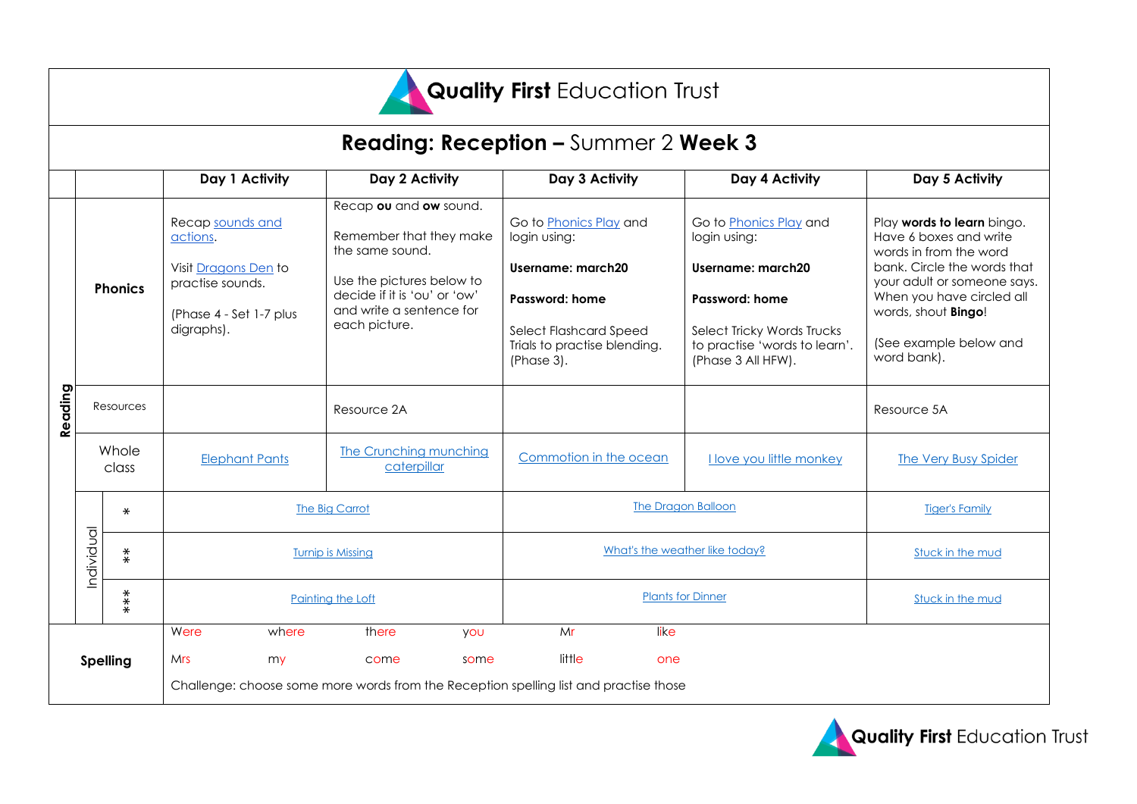

## **Reading: Reception –** Summer 2 **Week 3**

|                 |                |                     | Day 1 Activity                                                                                                    | Day 2 Activity                                                                                                                                                                 |                           | Day 3 Activity                                                                                                                                               |                       | Day 4 Activity                                                                                                                                                     | Day 5 Activity                                                                                                                                                                                                                                   |
|-----------------|----------------|---------------------|-------------------------------------------------------------------------------------------------------------------|--------------------------------------------------------------------------------------------------------------------------------------------------------------------------------|---------------------------|--------------------------------------------------------------------------------------------------------------------------------------------------------------|-----------------------|--------------------------------------------------------------------------------------------------------------------------------------------------------------------|--------------------------------------------------------------------------------------------------------------------------------------------------------------------------------------------------------------------------------------------------|
|                 | <b>Phonics</b> |                     | Recap sounds and<br>actions.<br>Visit Dragons Den to<br>practise sounds.<br>(Phase 4 - Set 1-7 plus<br>digraphs). | Recap ou and ow sound.<br>Remember that they make<br>the same sound.<br>Use the pictures below to<br>decide if it is 'ou' or 'ow'<br>and write a sentence for<br>each picture. |                           | Go to <b>Phonics Play</b> and<br>login using:<br>Username: march20<br>Password: home<br>Select Flashcard Speed<br>Trials to practise blending.<br>(Phase 3). |                       | Go to Phonics Play and<br>login using:<br>Username: march20<br>Password: home<br>Select Tricky Words Trucks<br>to practise 'words to learn'.<br>(Phase 3 All HFW). | Play words to learn bingo.<br>Have 6 boxes and write<br>words in from the word<br>bank. Circle the words that<br>your adult or someone says.<br>When you have circled all<br>words, shout <b>Bingo!</b><br>(See example below and<br>word bank). |
| Reading         | Resources      |                     | Resource 2A                                                                                                       |                                                                                                                                                                                |                           |                                                                                                                                                              |                       | Resource 5A                                                                                                                                                        |                                                                                                                                                                                                                                                  |
|                 | Whole<br>class |                     | <b>Elephant Pants</b>                                                                                             | The Crunching munching<br>caterpillar                                                                                                                                          |                           | Commotion in the ocean                                                                                                                                       |                       | <b>I love you little monkey</b>                                                                                                                                    | <b>The Very Busy Spider</b>                                                                                                                                                                                                                      |
|                 | Individual     | $\star$             | The Big Carrot                                                                                                    |                                                                                                                                                                                | <b>The Dragon Balloon</b> |                                                                                                                                                              | <b>Tiger's Family</b> |                                                                                                                                                                    |                                                                                                                                                                                                                                                  |
|                 |                | $\overset{*}{\ast}$ |                                                                                                                   | <b>Turnip is Missing</b>                                                                                                                                                       |                           | What's the weather like today?                                                                                                                               |                       | Stuck in the mud                                                                                                                                                   |                                                                                                                                                                                                                                                  |
|                 | $***$          |                     | Painting the Loft                                                                                                 |                                                                                                                                                                                |                           | <b>Plants for Dinner</b>                                                                                                                                     |                       |                                                                                                                                                                    | Stuck in the mud                                                                                                                                                                                                                                 |
|                 |                |                     | Were<br>where                                                                                                     | there                                                                                                                                                                          | <b>YOU</b>                | Mr                                                                                                                                                           | like                  |                                                                                                                                                                    |                                                                                                                                                                                                                                                  |
| <b>Spelling</b> |                |                     | <b>Mrs</b><br>my                                                                                                  | come                                                                                                                                                                           | some                      | little                                                                                                                                                       | one                   |                                                                                                                                                                    |                                                                                                                                                                                                                                                  |
|                 |                |                     | Challenge: choose some more words from the Reception spelling list and practise those                             |                                                                                                                                                                                |                           |                                                                                                                                                              |                       |                                                                                                                                                                    |                                                                                                                                                                                                                                                  |

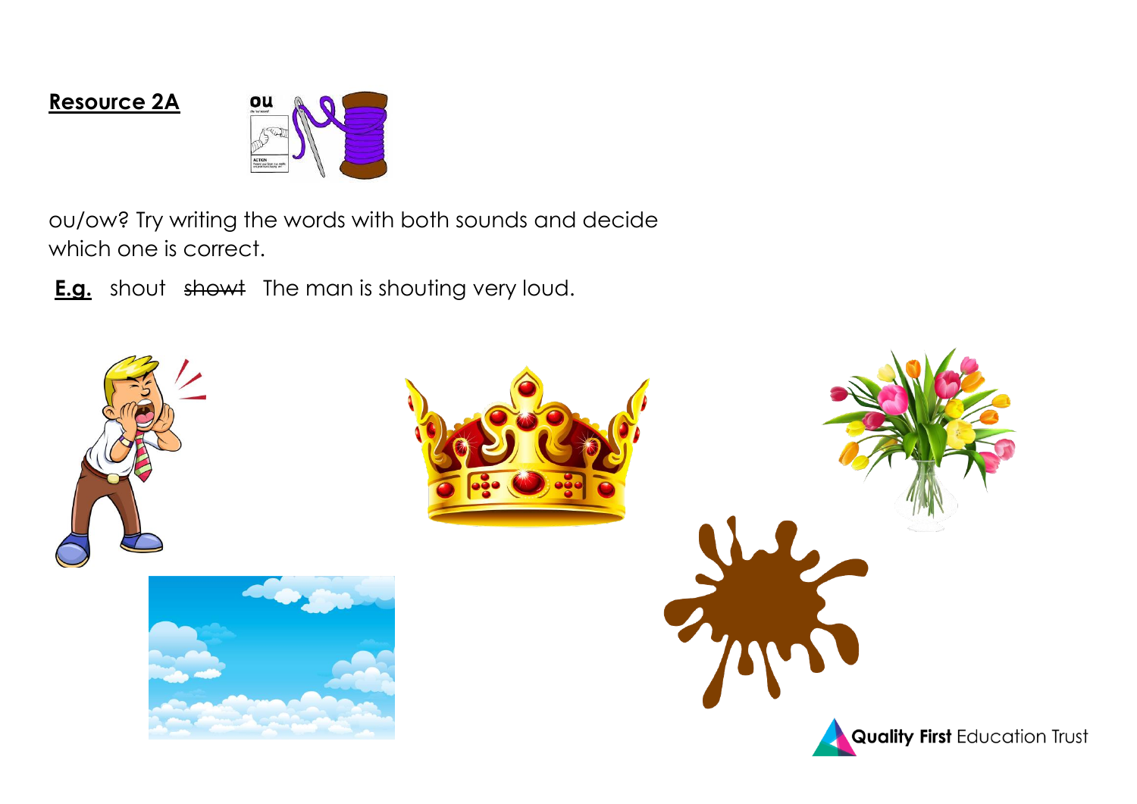## **Resource 2A**



ou/ow? Try writing the words with both sounds and decide which one is correct.

**E.g.** shout showt The man is shouting very loud.